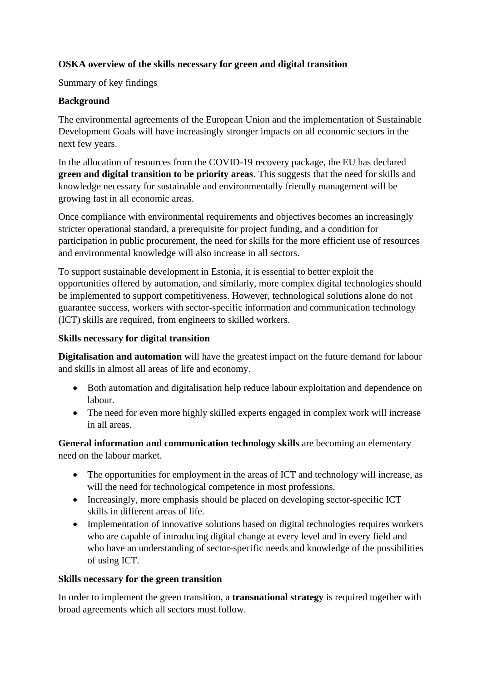## **OSKA overview of the skills necessary for green and digital transition**

Summary of key findings

## **Background**

The environmental agreements of the European Union and the implementation of Sustainable Development Goals will have increasingly stronger impacts on all economic sectors in the next few years.

In the allocation of resources from the COVID-19 recovery package, the EU has declared **green and digital transition to be priority areas**. This suggests that the need for skills and knowledge necessary for sustainable and environmentally friendly management will be growing fast in all economic areas.

Once compliance with environmental requirements and objectives becomes an increasingly stricter operational standard, a prerequisite for project funding, and a condition for participation in public procurement, the need for skills for the more efficient use of resources and environmental knowledge will also increase in all sectors.

To support sustainable development in Estonia, it is essential to better exploit the opportunities offered by automation, and similarly, more complex digital technologies should be implemented to support competitiveness. However, technological solutions alone do not guarantee success, workers with sector-specific information and communication technology (ICT) skills are required, from engineers to skilled workers.

## **Skills necessary for digital transition**

**Digitalisation and automation** will have the greatest impact on the future demand for labour and skills in almost all areas of life and economy.

- Both automation and digitalisation help reduce labour exploitation and dependence on labour.
- The need for even more highly skilled experts engaged in complex work will increase in all areas.

**General information and communication technology skills** are becoming an elementary need on the labour market.

- The opportunities for employment in the areas of ICT and technology will increase, as will the need for technological competence in most professions.
- Increasingly, more emphasis should be placed on developing sector-specific ICT skills in different areas of life.
- Implementation of innovative solutions based on digital technologies requires workers who are capable of introducing digital change at every level and in every field and who have an understanding of sector-specific needs and knowledge of the possibilities of using ICT.

## **Skills necessary for the green transition**

In order to implement the green transition, a **transnational strategy** is required together with broad agreements which all sectors must follow.